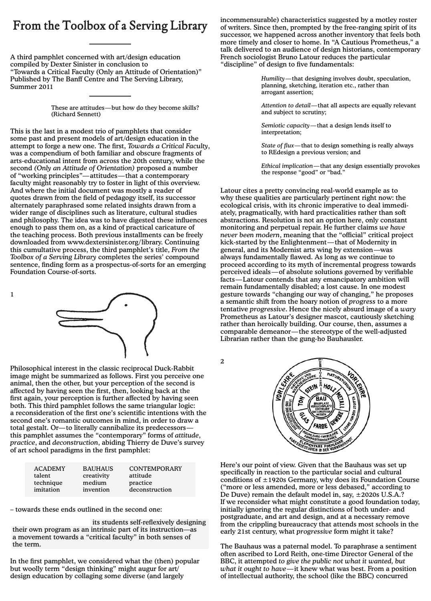## **From the Toolbox of a Serving Library**

A third pamphlet concerned with art/design education compiled by Dexter Sinister in conclusion to "Towards a Critical Faculty (Only an Attitude of Orientation)" Published by The Banff Centre and The Serving Library, Summer 2011

These are attitudes—but how do they become skills? (Richard Sennett) fundamental paradigms which *underly* models on which art

This is the last in a modest trio of pamphlets that consider some past and present models of art/design education in the attempt to forge a new one. The first, *Towards a Critical Faculty*, was a compendium of both familiar and obscure fragments of arts-educational intent from across the 20th century, while the second *(Only an Attitude of Orientation)* proposed a number of "working principles"—attitudes—that a contemporary of "working principles"—attitudes—that a contemporary faculty might reasonably try to foster in light of this overview. And where the initial document was mostly a reader of quotes drawn from the field of pedagogy itself, its successor alternately paraphrased some related insights drawn from a wider range of disciplines such as literature, cultural studies and philosophy. The idea was to have digested these influences enough to pass them on, as a kind of practical caricature of the teaching process. Both previous installments can be freely downloaded from www.dextersinister.org/library. Continuing this cumultative process, the third pamphlet's title, *From the* Toolbox of a Serving Library completes the series' compound sentence, finding form as a prospectus-of-sorts for an emerging Foundation Course-of-sorts.

as an autonomous entity, with  $\sim$ and continuity. Its method of teaching is by *invention*, involving the production of otherness and novel which, as such, emphasizes for more contract to The Context the prevailing condition  $\mathcal{L}$ which, although in although in a said the article as a said the article as a said the article as a said the article as a said the article as a said the article as a said the article as a said the article as a said the arti paradigm different to those described above, has yet to yield a widespread collective change in the way its schools are conclude with his arrival at "quality," the cornerstone of the books subtitle,  $\mathcal{A}$  subtitle,  $\mathcal{A}$ of simple exercises that the first proves that the class that the class that they are  $\mathcal{L}_{\mathcal{A}}$ independently recognize quality, because they routinely make basic quality judgements the assigns themselves. The assigns the assigns the assigns the assigns the assigns the assigns the assigns the assigns the assigns the assigns the assigns the assigns the assigns the assigns the a question "What is quality?" and counters their angry response that *he* should be telling *them*, not the other way round, by simply admitting that he has no idea and genuinely hoped someone might come up with a good answer. A few days later, however, he does work out a kind of self-annualling definition to do self-annually definition to do self-annua

1

Philosophical interest in the classic reciprocal Duck-Rabbit image might be summarized as follows. First you perceive one animal, then the other, but your perception of the second is affected by having seen the first, then, looking back at the first again, your perception is further affected by having seen<br>hotel. This attitude is a property of a property material existence and the interboth. This third pamphlet follows the same triangular logic: a reconsideration of the first one's scientific intentions with the a reconsideration of the first one's scientific intentions with the second one's romantic outcomes in mind, in order to draw a second one's romantic outcomes in filmu, in order to draw a<br>total gestalt. Or—to literally cannibalize its predecessors this pamphlet assumes the "contemporary" forms of *attitude*, *practice*, and *deconstruction*, abiding Thierry de Duve's survey practice, and deconstruction, abiding thierly de is Philosophical interest in the classic reciprocal Duck-Rabbit of are sensor paradigms in the mot pampiner.

| <b>ACADEMY</b><br>talent | <b>BAUHAUS</b><br>creativity | <b>CONTEMPORARY</b><br>attitude |  |
|--------------------------|------------------------------|---------------------------------|--|
| technique<br>imitation   | medium<br>invention          | practice<br>deconstruction      |  |

– towards these ends outlined in the second one:

its students self-reflexively designing their own program as an intrinsic part of its instruction—as a movement towards a "critical faculty" in both senses of the term.

In the first pamphlet, we considered what the (then) popular but woolly term "design thinking" might augur for art/  $B$ ut no school even believe in the general version by collaging some diverse (and largely  $\sum_{i=1}^{\infty}$   $\sum_{i=1}^{\infty}$  to end only to be accredited. The same accredited to be accredited. The same same of  $\sum_{i=1}^{\infty}$  $\frac{1}{2}$  besign education by collaging some diverse (and largely design education by collaging some diverse (and largely

incommensurable) characteristics suggested by a motley roster of writers. Since then, prompted by the free-ranging spirit of its successor, we happened across another inventory that feels both more timely and closer to home. In "A Cautious Prometheus," a talk delivered to an audience of design historians, contemporary French sociologist Bruno Latour reduces the particular "discipline" of design to five fundamentals:

> *Humility*—that designing involves doubt, speculation, planning, sketching, iteration etc., rather than arrogant assertion;

*Attention to detail*—that all aspects are equally relevant and subject to scrutiny;

decisions of school policy increasingly made by schools' *Semiotic capacity*—that a design lends itself to merpretation, interpretation;

the state of flux—that to design something is really always resources, *encouragement* of the engage intervalse in the engage in the engage in the REdesign a previous version; and  $\frac{1}{2}$  or philosophical grounding—while (as far as Isomhur)—while (as  $\frac{1}{2}$ 

**Ethical implication—that any design essentially provokes** the response "good" or "bad."

Latour cites a pretty convincing real-world example as to why these qualities are particularly pertinent right now: the ecological crisis, with its chronic imperative to deal immedis abstractions. Resolution is not an option here, only constant monitoring and perpetual repair. He further claims *we have never been modern*, meaning that the "official" critical project kick-started by the Enlightenment—that of Modernity in general, and its Modernist arts wing by extension—was always fundamentally flawed. As long as we continue to g proceed according to its myth of incremental progress towards facts—Latour contends that any emancipatory ambition will remain fundamentally disabled; a lost cause. In one modest gesture towards "changing our way of changing," he proposes a semantic shift from the hoary notion of *progress* to a more Prometheus as Latour's designer mascot, cautiously sketching rometheds as Eddom 3 designer maseor, edutionsly sketching rather than heroically building. Our course, then, assumes a  $\frac{1}{2}$  and  $\frac{1}{2}$  best and  $\frac{1}{2}$  by  $\frac{1}{2}$  and  $\frac{1}{2}$  by  $\frac{1}{2}$  by  $\frac{1}{2}$  by  $\frac{1}{2}$  by  $\frac{1}{2}$  by  $\frac{1}{2}$  by  $\frac{1}{2}$  by  $\frac{1}{2}$  by  $\frac{1}{2}$  by  $\frac{1}{2}$  by  $\frac{1}{2}$  by  $\frac{1}{2}$  by  $\frac{1$ comparable demeanor—the stereotype of the well-adjusted ately, pragmatically, with hard practicalities rather than soft perceived ideals—of absolute solutions governed by verifiable tentative *progressive*. Hence the nicely absurd image of a *wary* Librarian rather than the gung-ho Bauhausler.

2



 $\frac{1}{2}$  conditions of  $\pm 1920s$  Germany, why does its Foundation Course ("more or less amended, more or less debased," according to Be Bave, remain the addatit moder in, say,  $\pm$ 202008 0.0.11... generations what imput constitute a good found initially ignoring the regular distinctions of both under- and postgraduate, and art and design, and at a necessary remove from the crippling bureaucracy that attends most schools in the early 21st century, what *progressive* form might it take? Here's our point of view. Given that the Bauhaus was set up specifically in reaction to the particular social and cultural De Duve) remain the default model in, say, ±2020s U.S.A.?

The Bauhaus was a paternal model. To paraphrase a sentiment BBC, it attempted *to give the public not what it wanted, but* what it ought to have—it knew what was best. From a position of intellectual authority, the school (like the BBC) concurred often ascribed to Lord Reith, one-time Director General of the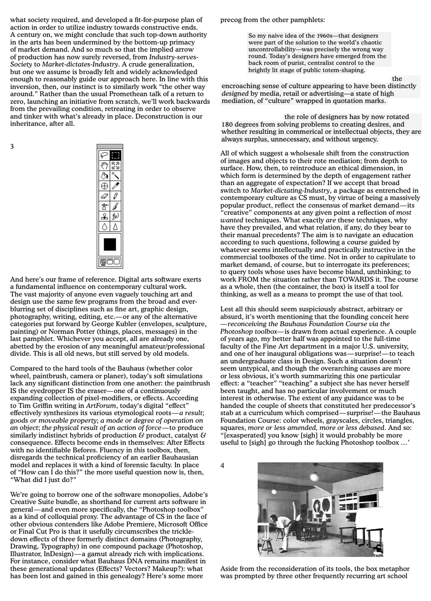what society required, and developed a fit-for-purpose plan of action in order to utilize industry towards constructive ends. A century on, we might conclude that such top-down authority in the arts has been undermined by the bottom-up primacy of market demand. And so much so that the implied arrow of production has now surely reversed, from Industry-serves-Society to Market-dictates-Industry. A crude generalization, but one we assume is broadly felt and widely acknowledged enough to reasonably guide our approach here. In line with this inversion, then, our instinct is to similarly work "the other way around." Rather than the usual Promethean talk of a return to around. Nather than the usual I follethean tark of a feturn to<br>zero, launching an initiative from scratch, we'll work backwards from the prevailing condition, retreating in order to observe and tinker with what's already in place. Deconstruction is our  $\hbox{inheritance, after all.}$ what society required, and developed a fit-for-purpose plan zero, launching an initiative from scratch, we'll work backward

3



And here's our frame of reference. Digital arts software exerts a fundamental influence on contemporary cultural work. The vast majority of anyone even vaguely touching art and design use the same few programs from the broad and everblurring set of disciplines such as fine art, graphic design, photography, writing, editing, etc.—or any of the alternative categories put forward by George Kubler (envelopes, sculpture, painting) or Norman Potter (things, places, messages) in the last pamphlet. Whichever you accept, all are already one, abetted by the erosion of any meaningful amateur/professional divide. This is all old news, but still served by old models.

Compared to the hard tools of the Bauhaus (whether color wheel, paintbrush, camera or planer), today's soft simulations lack any significant distinction from one another: the paintbrush IS the eyedropper IS the eraser—one of a continuously expanding collection of pixel-modifiers, or effects. According to Tim Griffin writing in *ArtForum*, today's digital "effect" effectively synthesizes its various etymological roots—*a result*; *goods or moveable property*; *a mode or degree of operation on an object*; *the physical result of an action of force*—to produce similarly indistinct hybrids of production  $\mathcal{C}$  product, catalyst  $\mathcal{C}$ consequence. Effects become ends in themselves: After Effects with no identifiable Befores. Fluency in *this* toolbox, then, disregards the technical proficiency of an earlier Bauhausian model and replaces it with a kind of forensic faculty. In place of "How can I do this?" the more useful question now is, then, "What did I just do?*"*

We're going to borrow one of the software monopolies, Adobe's Creative Suite bundle, as shorthand for current arts software in general—and even more specifically, the "Photoshop toolbox" as a kind of colloquial proxy. The advantage of CS in the face of other obvious contenders like Adobe Premiere, Microsoft Office or Final Cut Pro is that it usefully circumscribes the trickledown effects of three formerly distinct domains (Photography, Drawing, Typography) in one compound package (Photoshop, Illustrator, InDesign)—a gamut already rich with implications. For instance, consider what Bauhaus DNA remains manifest in these generational updates (Effects? Vectors? Makeup?): what has been lost and gained in this genealogy? Here's some more

precog from the other pamphlets: precog from the other pamphlets:

So my naive idea of the 1960s—that designers were part of the solution to the world's chaotic uncontrollability—was precisely the wrong way round. Today's designers have emerged from the back room of purist, centralist control to the brightly lit stage of public totem-shaping.

most patently manifest in Reality and Conflict Tv; and the conflict Tv; and the conflict Tv; and the conflict Tv; and the conflict Tv; and the conflict Tv; and the conflict Tv; and to  $\mathcal{L}$ innocuous, stuck in a loop of catering to market-researched-researched-researched-researched-researched-researched-

encroaching sense of culture appearing to have been distinctly *designed* by media, retail or advertising—a state of high  $\alpha$  and  $\alpha$  is computed the capitalism. mediation, of "culture" wrapped in quotation marks. encroaching sense of culture appearing to have been distinctly

and investment  $\mathcal{L}_{\mathcal{A}}$  and  $\mathcal{L}_{\mathcal{A}}$  and  $\mathcal{L}_{\mathcal{A}}$  and  $\mathcal{L}_{\mathcal{A}}$  and  $\mathcal{L}_{\mathcal{A}}$  and  $\mathcal{L}_{\mathcal{A}}$ 

as an essential part of the global machinery of the role of designers has by now rotated 180 degrees from solving problems to creating desires, and always surplus, unnecessary, and without urgency. whether resulting in commerical or intellectual objects, they are

All of which suggest a wholsesale shift from the construction of images and objects to their rote mediation; from depth to switch to *Market-dictating-Industry*, a package as entrenched in popular product, reflect the consensus of market demand—its "creative" components at any given point a reflection of *most wanted* techniques. What exactly *are* these techniques, why have they prevailed, and what relation, if any, do they bear to their manual precedents? The aim is to navigate an education according to such questions, following a course guided by whatever seems intellectually and practically instructive in the commercial toolboxes of the time. Not in order to capitulate to market demand, of course, but to interrogate its preferences; to query tools whose uses have become bland, unthinking; to as a whole, then (the container, the box) is itself a tool for thinking, as well as a means to prompt the use of that tool. surface. How, then, to reintroduce an ethical dimension, in which form is determined by the depth of engagement rather than an aggregate of expectation? If we accept that broad contemporary culture as CS must, by virtue of being a massively work FROM the situation rather than TOWARDS it. The course

Lest all this should seem suspiciously abstract, arbitrary or absurd, it's worth mentioning that the founding conceit here —reconceiving the Bauhaus Foundation Course via the Photoshop toolbox—is drawn from actual experience. A couple of years ago, my better half was appointed to the full-time faculty of the Fine Art department in a major U.S. university, an undergraduate class in Design. Such a situation doesn't seem untypical, and though the overarching causes are more or less obvious, it's worth summarizing this one particular effect: a "teacher" "teaching" a subject she has never herself been taught, and has no particular involvement or much interest in otherwise. The extent of any guidance was to be handed the couple of sheets that constituted her predecessor's stab at a curriculum which comprised—surprise!—the Bauhaus and one of her inaugural obligations was—surprise!—to teach Foundation Course: color wheels, grayscales, circles, triangles, squares, *more or less amended, more or less debased*. And so: "[exasperated] you know [sigh] it would probably be more useful to [sigh] go through the fucking Photoshop toolbox *…'*

4



Aside from the reconsideration of its tools, the box metaphor was prompted by three other frequently recurring art school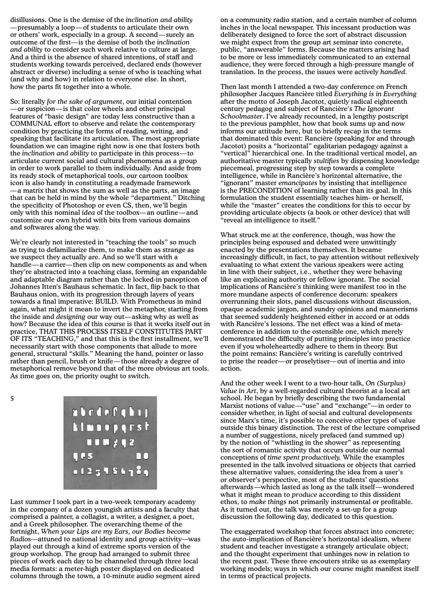disillusions. One is the demise of the *inclination and ability* —presumably a loop—of students to articulate their own or others' work, especially in a group. A second—surely an outcome of the first—is the demise of both the *inclination and ability* to consider such work relative to culture at large. And a third is the absence of shared intentions, of staff and students working towards perceived, declared ends (however abstract or diverse) including a sense of who is teaching what (and why and how) in relation to everyone else. In short, how the parts fit together into a whole.

So: literally *for the sake of argument*, our initial contention —or suspicion—is that color wheels and other principal features of "basic design" are today less constructive than a communal effort to observe and relate the contemporary condition by practicing the forms of reading, writing, and speaking that facilitate its articulation. The most appropriate foundation we can imagine right now is one that fosters both the *inclination and ability* to participate in this process—to articulate current social and cultural phenomena as a group in order to work parallel to them individually. And aside from its ready stock of metaphorical tools, our cartoon toolbox icon is also handy in constituting a readymade framework —a matrix that shows the sum as well as the parts, an image that can be held in mind by the whole "department." Ditching the specificity of Photoshop or even CS, then, we'll begin only with this nominal *idea* of the toolbox—an outline—and customize our own hybrid with bits from various domains and softwares along the way.

We're clearly not interested in "teaching the tools" so much as trying to defamiliarize them, to make them as strange as we suspect they actually are. And so we'll start with a handle—a carrier—then clip on new components as and when they're abstracted into a teaching class, forming an expandable and adaptable diagram rather than the locked-in panopticon of Johannes Itten's Bauhaus schematic. In fact, flip back to that Bauhaus onion, with its progression through layers of years towards a final imperative: BUILD. With Prometheus in mind again, what might it mean to invert the metaphor, starting from the inside and *designing* our way out—asking why as well as how? Because the idea of this course is that it works itself out in practice, THAT THIS PROCESS ITSELF CONSTITUTES PART OF ITS "TEACHING," and that this is the first installment, we'll necessarily start with those components that allude to more general, structural "skills." Meaning the hand, pointer or lasso rather than pencil, brush or knife—those already a degree of metaphorical remove beyond that of the more obvious art tools. As time goes on, the priority ought to switch.

5

| abrdefini        |    |
|------------------|----|
| <b>Elmoperst</b> |    |
| 100212           |    |
| <b>Tes</b>       | DO |
| 0123156789       |    |
|                  |    |

Last summer I took part in a two-week temporary academy in the company of a dozen youngish artists and a faculty that comprised a painter, a collagist, a writer, a designer, a poet, and a Greek philosopher. The overarching theme of the fortnight, *When your Lips are my Ears, our Bodies become Radios*—attuned to national identity and group activity—was played out through a kind of extreme sports version of the group workshop. The group had arranged to submit three pieces of work each day to be channeled through three local media formats: a meter-high poster displayed on dedicated columns through the town, a 10-minute audio segment aired

on a community radio station, and a certain number of column inches in the local newspaper. This incessant production was deliberately designed to force the sort of abstract discussion we might expect from the group art seminar into concrete, public, "answerable" forms. Because the matters arising had to be more or less immediately communicated to an external audience, they were forced through a high-pressure mangle of translation. In the process, the issues were actively *handled*.

Then last month I attended a two-day conference on French philosopher Jacques Rancière titled *Everything is in Everything* after the motto of Joseph Jacotot, quietly radical eighteenth century pedagog and subject of Rancière's *The Ignorant Schoolmaster*. I've already recounted, in a lengthy postscript to the previous pamphlet, how that book sums up and now informs our attitude here, but to briefly recap in the terms that dominated this event: Rancière (speaking for and through Jacotot) posits a "horizontal" egalitarian pedagogy against a "vertical" hierarchical one. In the traditional vertical model, an authoritative master typically *stultifies* by dispensing knowledge piecemeal, progressing step by step towards a complete intelligence, while in Rancière's horizontal alternative, the "ignorant" master *emancipates* by insisting that intelligence is the PRECONDITION of learning rather than its goal. In this formulation the student essentially teaches him- or herself, while the "master" creates the conditions for this to occur by providing articulate objects (a book or other device) that will "reveal an intelligence to itself."

What struck me at the conference, though, was how the principles being espoused and debated were unwittingly enacted by the presentations themselves. It became increasingly difficult, in fact, to pay attention without reflexively evaluating to what extent the various speakers were acting in line with their subject, i.e., whether they were behaving like an explicating authority or fellow ignorant. The social implications of Rancière's thinking were manifest too in the more mundane aspects of conference decorum: speakers overrunning their slots, panel discussions without discussion, opaque academic jargon, and sundry opinions and mannerisms that seemed suddenly heightened either in accord or at odds with Rancière's lessons. The net effect was a kind of metaconference in addition to the ostensible one, which merely demonstrated the difficulty of putting principles into practice even if you wholeheartedly adhere to them in theory. But the point remains: Rancière's writing is carefully contrived to prise the reader—or proselytiser—out of inertia and into action.

And the other week I went to a two-hour talk, *On (Surplus) Value in Art*, by a well-regarded cultural theorist at a local art school. He began by briefly describing the two fundamental Marxist notions of value—"use" and "exchange"—in order to consider whether, in light of social and cultural developments since Marx's time, it's possible to conceive other types of value outside this binary distinction. The rest of the lecture comprised a number of suggestions, nicely prefaced (and summed up) by the notion of "whistling in the shower" as representing the sort of romantic activity that occurs outside our normal conceptions of *time spent productively.* While the examples presented in the talk involved situations or objects that carried these alternative values, considering the idea from a user's or observer's perspective, most of the students' questions afterwards—which lasted as long as the talk itself—wondered what it might mean to *produce* according to this dissident ethos, to *make things* not primarily instrumental or profitable. As it turned out, the talk was merely a set-up for a group discussion the following day, dedicated to this question.

The exaggerrated workshop that forces abstract into concrete; the auto-implication of Rancière's horizontal idealism, where student and teacher investigate a strangely articulate object; and the thought experiment that unhinges now in relation to the recent past. These three encouters strike us as exemplary working models; ways in which our course might manifest itself in terms of practical projects.